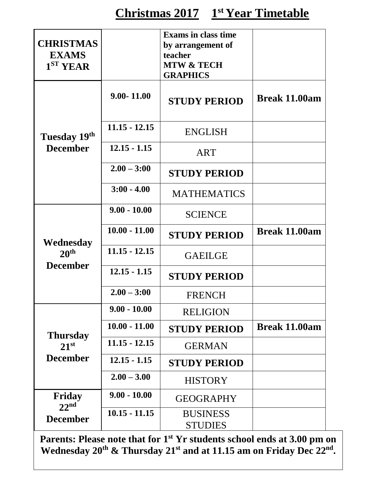| <b>CHRISTMAS</b><br><b>EXAMS</b><br>1 <sup>ST</sup> <b>YEAR</b> |                 | <b>Exams in class time</b><br>by arrangement of<br>teacher<br><b>MTW &amp; TECH</b><br><b>GRAPHICS</b> |                      |
|-----------------------------------------------------------------|-----------------|--------------------------------------------------------------------------------------------------------|----------------------|
|                                                                 | $9.00 - 11.00$  | <b>STUDY PERIOD</b>                                                                                    | Break 11.00am        |
| Tuesday 19th                                                    | $11.15 - 12.15$ | <b>ENGLISH</b>                                                                                         |                      |
| <b>December</b>                                                 | $12.15 - 1.15$  | <b>ART</b>                                                                                             |                      |
|                                                                 | $2.00 - 3:00$   | <b>STUDY PERIOD</b>                                                                                    |                      |
|                                                                 | $3:00 - 4.00$   | <b>MATHEMATICS</b>                                                                                     |                      |
|                                                                 | $9.00 - 10.00$  | <b>SCIENCE</b>                                                                                         |                      |
| Wednesday                                                       | $10.00 - 11.00$ | <b>STUDY PERIOD</b>                                                                                    | <b>Break 11.00am</b> |
| 20 <sup>th</sup>                                                | $11.15 - 12.15$ | <b>GAEILGE</b>                                                                                         |                      |
| <b>December</b>                                                 | $12.15 - 1.15$  | <b>STUDY PERIOD</b>                                                                                    |                      |
|                                                                 | $2.00 - 3:00$   | <b>FRENCH</b>                                                                                          |                      |
|                                                                 | $9.00 - 10.00$  | <b>RELIGION</b>                                                                                        |                      |
| <b>Thursday</b>                                                 | $10.00 - 11.00$ | <b>STUDY PERIOD</b>                                                                                    | Break 11.00am        |
| $21^{st}$                                                       | $11.15 - 12.15$ | <b>GERMAN</b>                                                                                          |                      |
| <b>December</b>                                                 | $12.15 - 1.15$  | <b>STUDY PERIOD</b>                                                                                    |                      |
|                                                                 | $2.00 - 3.00$   | <b>HISTORY</b>                                                                                         |                      |
| Friday<br>22 <sup>nd</sup>                                      | $9.00 - 10.00$  | <b>GEOGRAPHY</b>                                                                                       |                      |
| <b>December</b>                                                 | $10.15 - 11.15$ | <b>BUSINESS</b><br><b>STUDIES</b>                                                                      |                      |

**Parents: Please note that for 1st Yr students school ends at 3.00 pm on Wednesday 20th & Thursday 21st and at 11.15 am on Friday Dec 22nd .**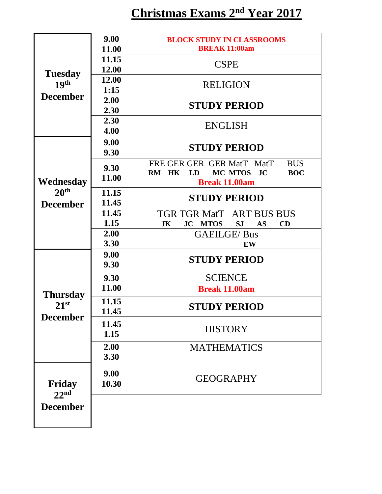|                                                 | 9.00         | <b>BLOCK STUDY IN CLASSROOMS</b>                            |  |
|-------------------------------------------------|--------------|-------------------------------------------------------------|--|
| <b>Tuesday</b><br>19 <sup>th</sup>              | 11.00        | <b>BREAK 11:00am</b>                                        |  |
|                                                 | 11.15        | <b>CSPE</b>                                                 |  |
|                                                 | 12.00        |                                                             |  |
|                                                 | 12.00        | <b>RELIGION</b>                                             |  |
| <b>December</b>                                 | 1:15         |                                                             |  |
|                                                 | 2.00         | <b>STUDY PERIOD</b>                                         |  |
|                                                 | 2.30         |                                                             |  |
|                                                 | 2.30         | <b>ENGLISH</b>                                              |  |
|                                                 | 4.00         |                                                             |  |
|                                                 | 9.00<br>9.30 | <b>STUDY PERIOD</b>                                         |  |
|                                                 | 9.30         | FRE GER GER GER MatT MatT<br><b>BUS</b>                     |  |
|                                                 | 11.00        | MC MTOS JC<br><b>BOC</b><br>RM HK<br>LD                     |  |
| Wednesday                                       |              | <b>Break 11.00am</b>                                        |  |
| 20 <sup>th</sup>                                | 11.15        | <b>STUDY PERIOD</b>                                         |  |
| <b>December</b>                                 | 11.45        |                                                             |  |
|                                                 | 11.45        | TGR TGR MatT ART BUS BUS                                    |  |
|                                                 | 1.15         | <b>JK</b><br><b>JC MTOS</b><br><b>SJ</b><br>CD<br><b>AS</b> |  |
|                                                 | 2.00         | <b>GAEILGE/Bus</b>                                          |  |
|                                                 | 3.30         | EW                                                          |  |
|                                                 | 9.00         | <b>STUDY PERIOD</b>                                         |  |
|                                                 | 9.30         |                                                             |  |
|                                                 | 9.30         | <b>SCIENCE</b>                                              |  |
|                                                 | 11.00        | <b>Break 11.00am</b>                                        |  |
| <b>Thursday</b><br>$21^{st}$<br><b>December</b> | 11.15        |                                                             |  |
|                                                 | 11.45        | <b>STUDY PERIOD</b>                                         |  |
|                                                 | 11.45        | <b>HISTORY</b>                                              |  |
|                                                 | 1.15         |                                                             |  |
|                                                 | 2.00         | <b>MATHEMATICS</b>                                          |  |
|                                                 | 3.30         |                                                             |  |
|                                                 | 9.00         |                                                             |  |
| Friday                                          | 10.30        | <b>GEOGRAPHY</b>                                            |  |
| 22 <sup>nd</sup>                                |              |                                                             |  |
|                                                 |              |                                                             |  |
| <b>December</b>                                 |              |                                                             |  |
|                                                 |              |                                                             |  |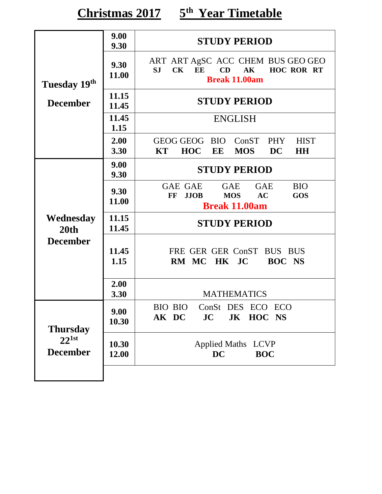**Christmas 2017 5 th Year Timetable**

|                               | 9.00<br>9.30                        | <b>STUDY PERIOD</b>                                                                                                             |  |  |
|-------------------------------|-------------------------------------|---------------------------------------------------------------------------------------------------------------------------------|--|--|
| Tuesday 19th                  | 9.30<br>11.00                       | ART ART AgSC ACC CHEM BUS GEO GEO<br>CD<br>$S_{J}$<br>$CK$ $EE$<br>AK HOC ROR RT<br><b>Break 11.00am</b>                        |  |  |
| <b>December</b>               | 11.15<br>11.45                      | <b>STUDY PERIOD</b>                                                                                                             |  |  |
|                               | 11.45<br>1.15                       | <b>ENGLISH</b>                                                                                                                  |  |  |
|                               | 2.00<br>3.30                        | GEOG GEOG BIO ConST<br>PHY<br><b>HIST</b><br><b>HOC</b><br><b>MOS</b><br>KT<br>EE<br>DC<br><b>HH</b>                            |  |  |
|                               | 9.00<br><b>STUDY PERIOD</b><br>9.30 |                                                                                                                                 |  |  |
|                               | 9.30<br>11.00                       | GAE GAE<br>GAE<br><b>BIO</b><br><b>GAE</b><br><b>MOS</b><br>AC<br><b>GOS</b><br>$\bf FF$<br><b>JJOB</b><br><b>Break 11.00am</b> |  |  |
| Wednesday<br>20th             | 11.15<br>11.45                      | <b>STUDY PERIOD</b>                                                                                                             |  |  |
| <b>December</b>               | 11.45<br>1.15                       | FRE GER GER ConST BUS BUS<br>HK JC<br><b>BOC NS</b><br>RM MC                                                                    |  |  |
|                               | 2.00<br>3.30                        | <b>MATHEMATICS</b>                                                                                                              |  |  |
| <b>Thursday</b>               | 9.00<br>10.30                       | BIO BIO<br>ConSt DES ECO ECO<br>JC<br>JK HOC NS<br>AK DC                                                                        |  |  |
| $22^{1st}$<br><b>December</b> | 10.30<br>12.00                      | <b>Applied Maths LCVP</b><br><b>DC</b><br><b>BOC</b>                                                                            |  |  |
|                               |                                     |                                                                                                                                 |  |  |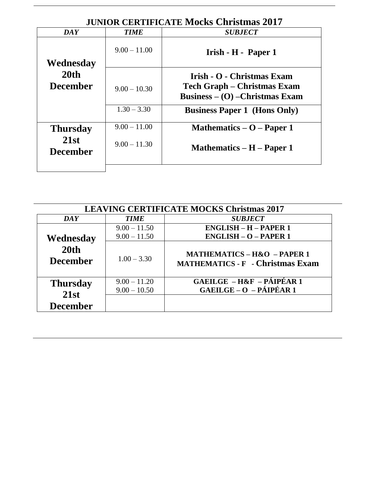| <b>JUNIOR CERTIFICATE MOCKS Christmas 2017</b> |                |                                                                       |  |
|------------------------------------------------|----------------|-----------------------------------------------------------------------|--|
| <b>DAY</b>                                     | <b>TIME</b>    | <b>SUBJECT</b>                                                        |  |
|                                                | $9.00 - 11.00$ | Irish - H - Paper 1                                                   |  |
| Wednesday                                      |                |                                                                       |  |
| 20th                                           |                | Irish - O - Christmas Exam                                            |  |
| <b>December</b>                                | $9.00 - 10.30$ | Tech Graph – Christmas Exam<br><b>Business – (O) – Christmas Exam</b> |  |
|                                                | $1.30 - 3.30$  | <b>Business Paper 1 (Hons Only)</b>                                   |  |
| <b>Thursday</b>                                | $9.00 - 11.00$ | Mathematics $-$ O $-$ Paper 1                                         |  |
| 21st<br><b>December</b>                        | $9.00 - 11.30$ | Mathematics $- H -$ Paper 1                                           |  |
|                                                |                |                                                                       |  |
|                                                |                |                                                                       |  |

## **JUNIOR CERTIFICATE Mocks Christmas 2017**

|                                     | <b>LEAVING CERTIFICATE MOCKS Christmas 2017</b> |                                                                                   |  |
|-------------------------------------|-------------------------------------------------|-----------------------------------------------------------------------------------|--|
| DA Y                                | <b>TIME</b>                                     | <b>SUBJECT</b>                                                                    |  |
|                                     | $9.00 - 11.50$                                  | <b>ENGLISH - H - PAPER 1</b>                                                      |  |
| Wednesday                           | $9.00 - 11.50$                                  | $ENGLISH-O-PAPER 1$                                                               |  |
| 20 <sub>th</sub><br><b>December</b> | $1.00 - 3.30$                                   | <b>MATHEMATICS - H&amp;O - PAPER 1</b><br><b>MATHEMATICS - F - Christmas Exam</b> |  |
| <b>Thursday</b>                     | $9.00 - 11.20$                                  | <b>GAEILGE - H&amp;F - PÁIPÉAR 1</b>                                              |  |
| 21st                                | $9.00 - 10.50$                                  | $GAEILGE - O - PÁIPÉAR 1$                                                         |  |
| <b>December</b>                     |                                                 |                                                                                   |  |